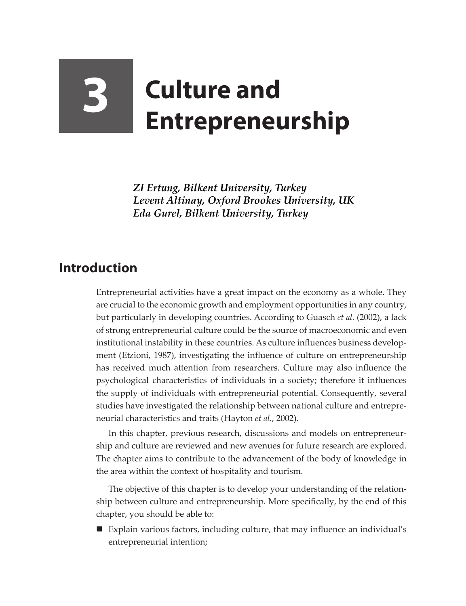## **3 Culture and Entrepreneurship**

*ZI Ertung, Bilkent University, Turkey Levent Altinay, Oxford Brookes University, UK Eda Gurel, Bilkent University, Turkey*

## **Introduction**

Entrepreneurial activities have a great impact on the economy as a whole. They are crucial to the economic growth and employment opportunities in any country, but particularly in developing countries. According to Guasch *et al.* (2002), a lack of strong entrepreneurial culture could be the source of macroeconomic and even institutional instability in these countries. As culture influences business development (Etzioni, 1987), investigating the influence of culture on entrepreneurship has received much attention from researchers. Culture may also influence the psychological characteristics of individuals in a society; therefore it influences the supply of individuals with entrepreneurial potential. Consequently, several studies have investigated the relationship between national culture and entrepreneurial characteristics and traits (Hayton *et al.*, 2002).

In this chapter, previous research, discussions and models on entrepreneurship and culture are reviewed and new avenues for future research are explored. The chapter aims to contribute to the advancement of the body of knowledge in the area within the context of hospitality and tourism.

The objective of this chapter is to develop your understanding of the relationship between culture and entrepreneurship. More specifically, by the end of this chapter, you should be able to:

 Explain various factors, including culture, that may influence an individual's entrepreneurial intention;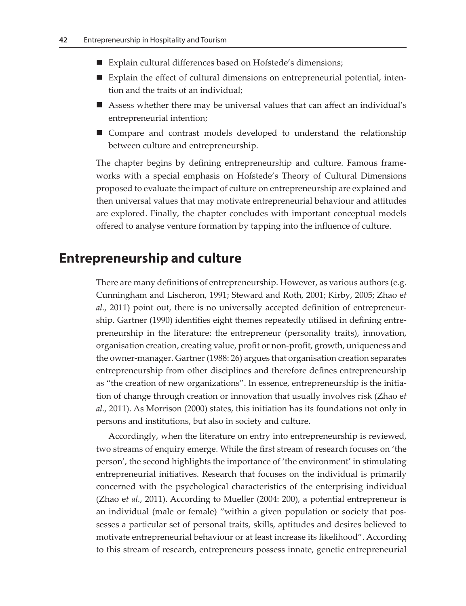- Explain cultural differences based on Hofstede's dimensions;
- Explain the effect of cultural dimensions on entrepreneurial potential, intention and the traits of an individual;
- Assess whether there may be universal values that can affect an individual's entrepreneurial intention;
- Compare and contrast models developed to understand the relationship between culture and entrepreneurship.

The chapter begins by defining entrepreneurship and culture. Famous frameworks with a special emphasis on Hofstede's Theory of Cultural Dimensions proposed to evaluate the impact of culture on entrepreneurship are explained and then universal values that may motivate entrepreneurial behaviour and attitudes are explored. Finally, the chapter concludes with important conceptual models offered to analyse venture formation by tapping into the influence of culture.

## **Entrepreneurship and culture**

There are many definitions of entrepreneurship. However, as various authors (e.g. Cunningham and Lischeron, 1991; Steward and Roth, 2001; Kirby, 2005; Zhao e*t al.*, 2011) point out, there is no universally accepted definition of entrepreneurship. Gartner (1990) identifies eight themes repeatedly utilised in defining entrepreneurship in the literature: the entrepreneur (personality traits), innovation, organisation creation, creating value, profit or non-profit, growth, uniqueness and the owner-manager. Gartner (1988: 26) argues that organisation creation separates entrepreneurship from other disciplines and therefore defines entrepreneurship as "the creation of new organizations". In essence, entrepreneurship is the initiation of change through creation or innovation that usually involves risk (Zhao e*t al.*, 2011). As Morrison (2000) states, this initiation has its foundations not only in persons and institutions, but also in society and culture.

Accordingly, when the literature on entry into entrepreneurship is reviewed, two streams of enquiry emerge. While the first stream of research focuses on 'the person', the second highlights the importance of 'the environment' in stimulating entrepreneurial initiatives. Research that focuses on the individual is primarily concerned with the psychological characteristics of the enterprising individual (Zhao e*t al.*, 2011). According to Mueller (2004: 200), a potential entrepreneur is an individual (male or female) "within a given population or society that possesses a particular set of personal traits, skills, aptitudes and desires believed to motivate entrepreneurial behaviour or at least increase its likelihood". According to this stream of research, entrepreneurs possess innate, genetic entrepreneurial